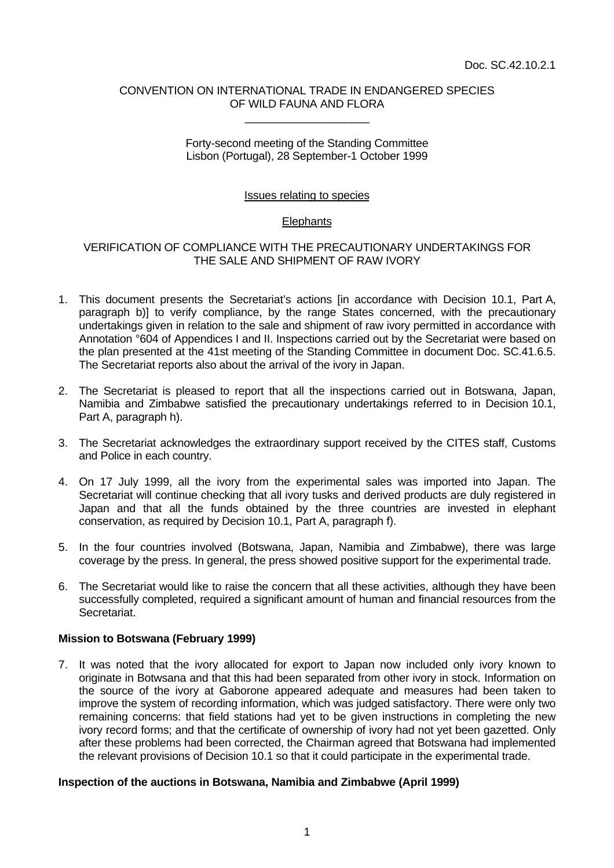### CONVENTION ON INTERNATIONAL TRADE IN ENDANGERED SPECIES OF WILD FAUNA AND FLORA \_\_\_\_\_\_\_\_\_\_\_\_\_\_\_\_\_\_\_\_

### Forty-second meeting of the Standing Committee Lisbon (Portugal), 28 September-1 October 1999

### Issues relating to species

# **Elephants**

# VERIFICATION OF COMPLIANCE WITH THE PRECAUTIONARY UNDERTAKINGS FOR THE SALE AND SHIPMENT OF RAW IVORY

- 1. This document presents the Secretariat's actions [in accordance with Decision 10.1, Part A, paragraph b)] to verify compliance, by the range States concerned, with the precautionary undertakings given in relation to the sale and shipment of raw ivory permitted in accordance with Annotation °604 of Appendices I and II. Inspections carried out by the Secretariat were based on the plan presented at the 41st meeting of the Standing Committee in document Doc. SC.41.6.5. The Secretariat reports also about the arrival of the ivory in Japan.
- 2. The Secretariat is pleased to report that all the inspections carried out in Botswana, Japan, Namibia and Zimbabwe satisfied the precautionary undertakings referred to in Decision 10.1, Part A, paragraph h).
- 3. The Secretariat acknowledges the extraordinary support received by the CITES staff, Customs and Police in each country.
- 4. On 17 July 1999, all the ivory from the experimental sales was imported into Japan. The Secretariat will continue checking that all ivory tusks and derived products are duly registered in Japan and that all the funds obtained by the three countries are invested in elephant conservation, as required by Decision 10.1, Part A, paragraph f).
- 5. In the four countries involved (Botswana, Japan, Namibia and Zimbabwe), there was large coverage by the press. In general, the press showed positive support for the experimental trade.
- 6. The Secretariat would like to raise the concern that all these activities, although they have been successfully completed, required a significant amount of human and financial resources from the Secretariat.

# **Mission to Botswana (February 1999)**

7. It was noted that the ivory allocated for export to Japan now included only ivory known to originate in Botwsana and that this had been separated from other ivory in stock. Information on the source of the ivory at Gaborone appeared adequate and measures had been taken to improve the system of recording information, which was judged satisfactory. There were only two remaining concerns: that field stations had yet to be given instructions in completing the new ivory record forms; and that the certificate of ownership of ivory had not yet been gazetted. Only after these problems had been corrected, the Chairman agreed that Botswana had implemented the relevant provisions of Decision 10.1 so that it could participate in the experimental trade.

#### **Inspection of the auctions in Botswana, Namibia and Zimbabwe (April 1999)**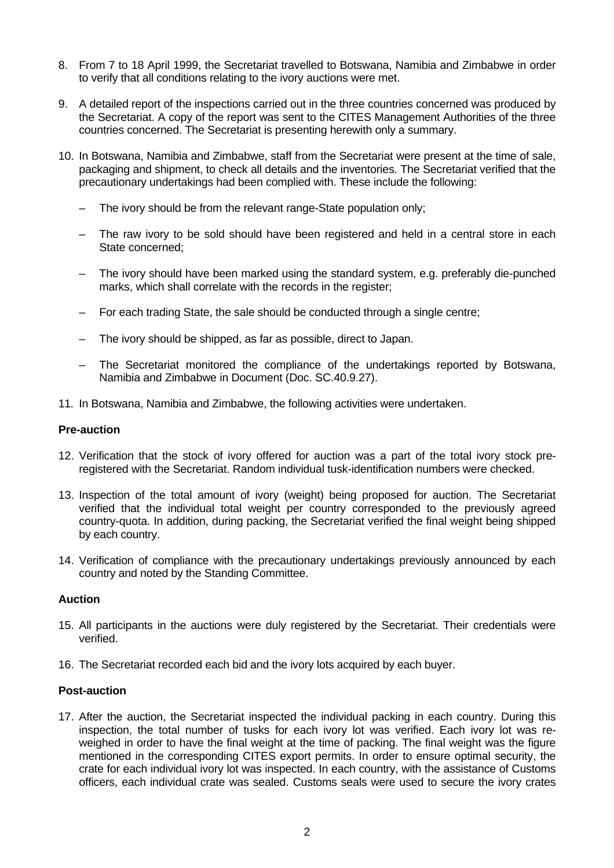- 8. From 7 to 18 April 1999, the Secretariat travelled to Botswana, Namibia and Zimbabwe in order to verify that all conditions relating to the ivory auctions were met.
- 9. A detailed report of the inspections carried out in the three countries concerned was produced by the Secretariat. A copy of the report was sent to the CITES Management Authorities of the three countries concerned. The Secretariat is presenting herewith only a summary.
- 10. In Botswana, Namibia and Zimbabwe, staff from the Secretariat were present at the time of sale, packaging and shipment, to check all details and the inventories. The Secretariat verified that the precautionary undertakings had been complied with. These include the following:
	- The ivory should be from the relevant range-State population only;
	- The raw ivory to be sold should have been registered and held in a central store in each State concerned;
	- The ivory should have been marked using the standard system, e.g. preferably die-punched marks, which shall correlate with the records in the register;
	- For each trading State, the sale should be conducted through a single centre;
	- The ivory should be shipped, as far as possible, direct to Japan.
	- The Secretariat monitored the compliance of the undertakings reported by Botswana, Namibia and Zimbabwe in Document (Doc. SC.40.9.27).
- 11. In Botswana, Namibia and Zimbabwe, the following activities were undertaken.

### **Pre-auction**

- 12. Verification that the stock of ivory offered for auction was a part of the total ivory stock preregistered with the Secretariat. Random individual tusk-identification numbers were checked.
- 13. Inspection of the total amount of ivory (weight) being proposed for auction. The Secretariat verified that the individual total weight per country corresponded to the previously agreed country-quota. In addition, during packing, the Secretariat verified the final weight being shipped by each country.
- 14. Verification of compliance with the precautionary undertakings previously announced by each country and noted by the Standing Committee.

#### **Auction**

- 15. All participants in the auctions were duly registered by the Secretariat. Their credentials were verified.
- 16. The Secretariat recorded each bid and the ivory lots acquired by each buyer.

#### **Post-auction**

17. After the auction, the Secretariat inspected the individual packing in each country. During this inspection, the total number of tusks for each ivory lot was verified. Each ivory lot was reweighed in order to have the final weight at the time of packing. The final weight was the figure mentioned in the corresponding CITES export permits. In order to ensure optimal security, the crate for each individual ivory lot was inspected. In each country, with the assistance of Customs officers, each individual crate was sealed. Customs seals were used to secure the ivory crates